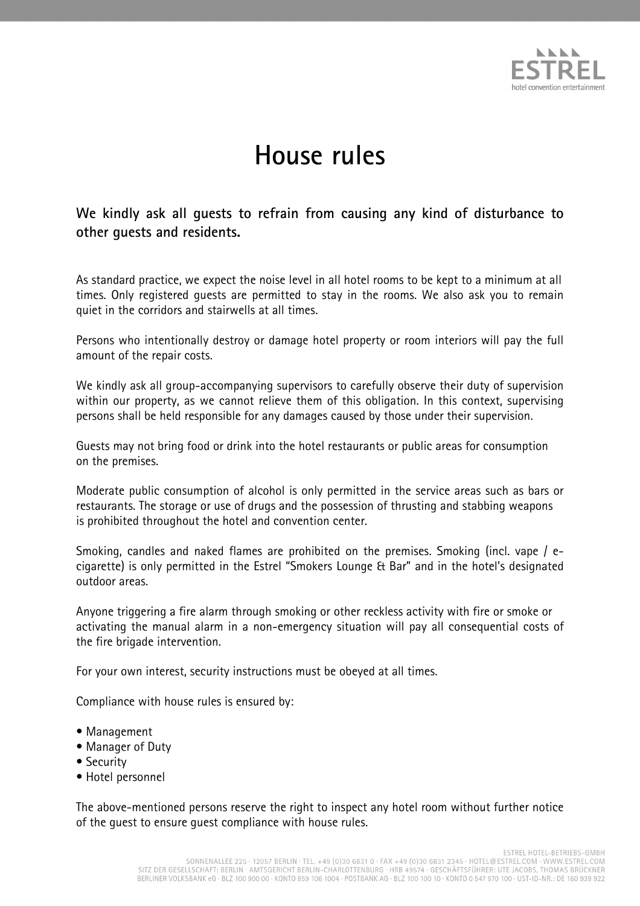

## **House rules**

**We kindly ask all guests to refrain from causing any kind of disturbance to other guests and residents.** 

As standard practice, we expect the noise level in all hotel rooms to be kept to a minimum at all times. Only registered guests are permitted to stay in the rooms. We also ask you to remain quiet in the corridors and stairwells at all times.

Persons who intentionally destroy or damage hotel property or room interiors will pay the full amount of the repair costs.

We kindly ask all group-accompanying supervisors to carefully observe their duty of supervision within our property, as we cannot relieve them of this obligation. In this context, supervising persons shall be held responsible for any damages caused by those under their supervision.

Guests may not bring food or drink into the hotel restaurants or public areas for consumption on the premises.

Moderate public consumption of alcohol is only permitted in the service areas such as bars or restaurants. The storage or use of drugs and the possession of thrusting and stabbing weapons is prohibited throughout the hotel and convention center.

Smoking, candles and naked flames are prohibited on the premises. Smoking (incl. vape / ecigarette) is only permitted in the Estrel "Smokers Lounge & Bar" and in the hotel's designated outdoor areas.

Anyone triggering a fire alarm through smoking or other reckless activity with fire or smoke or activating the manual alarm in a non-emergency situation will pay all consequential costs of the fire brigade intervention.

For your own interest, security instructions must be obeyed at all times.

Compliance with house rules is ensured by:

- Management
- Manager of Duty
- Security
- Hotel personnel

The above-mentioned persons reserve the right to inspect any hotel room without further notice of the guest to ensure guest compliance with house rules.